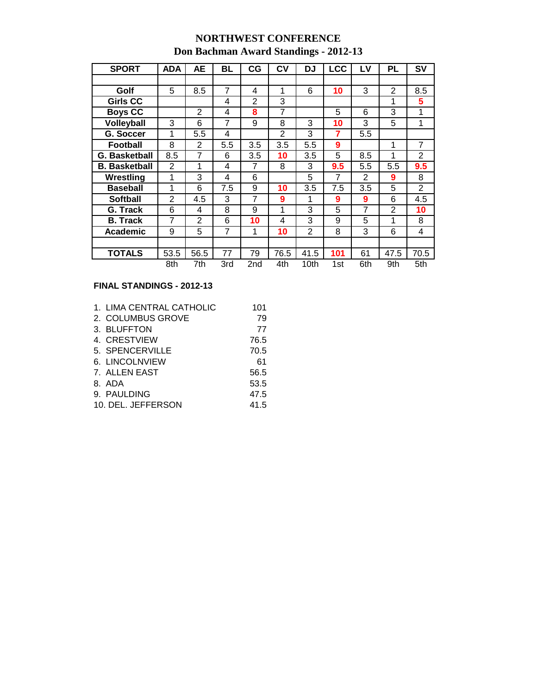## **NORTHWEST CONFERENCE**

## **Don Bachman Award Standings - 2012-13**

| <b>SPORT</b>         | <b>ADA</b>     | AЕ             | BL             | СG             | CV   | DJ             | <b>LCC</b>     | LV             | PL             | SV             |
|----------------------|----------------|----------------|----------------|----------------|------|----------------|----------------|----------------|----------------|----------------|
|                      |                |                |                |                |      |                |                |                |                |                |
| Golf                 | 5              | 8.5            | $\overline{7}$ | 4              | 1    | 6              | 10             | 3              | $\overline{2}$ | 8.5            |
| Girls CC             |                |                | 4              | $\mathfrak{p}$ | 3    |                |                |                | 1              | 5              |
| <b>Boys CC</b>       |                | $\overline{2}$ | 4              | 8              | 7    |                | 5              | 6              | 3              | 1              |
| <b>Volleyball</b>    | 3              | 6              | 7              | 9              | 8    | 3              | 10             | 3              | 5              | 1              |
| G. Soccer            | 1              | 5.5            | $\overline{4}$ |                | 2    | 3              | 7              | 5.5            |                |                |
| <b>Football</b>      | 8              | 2              | 5.5            | 3.5            | 3.5  | 5.5            | 9              |                | 1              | $\overline{7}$ |
| <b>G. Basketball</b> | 8.5            | 7              | 6              | 3.5            | 10   | 3.5            | 5              | 8.5            | 1              | $\overline{2}$ |
| <b>B.</b> Basketball | $\overline{2}$ | 1              | 4              | 7              | 8    | 3              | 9.5            | 5.5            | 5.5            | 9.5            |
| Wrestling            | 1              | 3              | 4              | 6              |      | 5              | $\overline{7}$ | $\overline{2}$ | 9              | 8              |
| <b>Baseball</b>      | 1              | 6              | 7.5            | 9              | 10   | 3.5            | 7.5            | 3.5            | 5              | $\overline{2}$ |
| <b>Softball</b>      | 2              | 4.5            | 3              | 7              | 9    | 1              | 9              | 9              | 6              | 4.5            |
| G. Track             | 6              | 4              | 8              | 9              | 1    | 3              | 5              | 7              | $\overline{2}$ | 10             |
| <b>B.</b> Track      | 7              | $\overline{2}$ | 6              | 10             | 4    | 3              | 9              | 5              | 1              | 8              |
| <b>Academic</b>      | 9              | 5              | 7              | 1              | 10   | $\overline{2}$ | 8              | 3              | 6              | $\overline{4}$ |
|                      |                |                |                |                |      |                |                |                |                |                |
| <b>TOTALS</b>        | 53.5           | 56.5           | 77             | 79             | 76.5 | 41.5           | 101            | 61             | 47.5           | 70.5           |
|                      | 8th            | 7th            | 3rd            | 2nd            | 4th  | 10th           | 1st            | 6th            | 9th            | 5th            |

## **FINAL STANDINGS - 2012-13**

| 1. LIMA CENTRAL CATHOLIC | 101  |
|--------------------------|------|
| 2. COLUMBUS GROVE        | 79   |
| 3. BLUFFTON              | 77   |
| 4. CRESTVIEW             | 76.5 |
| 5. SPENCERVILLE          | 70.5 |
| 6. LINCOLNVIEW           | 61   |
| 7. ALLEN EAST            | 56.5 |
| 8. ADA                   | 53.5 |
| 9. PAULDING              | 47.5 |
| 10. DEL. JEFFERSON       | 41.5 |